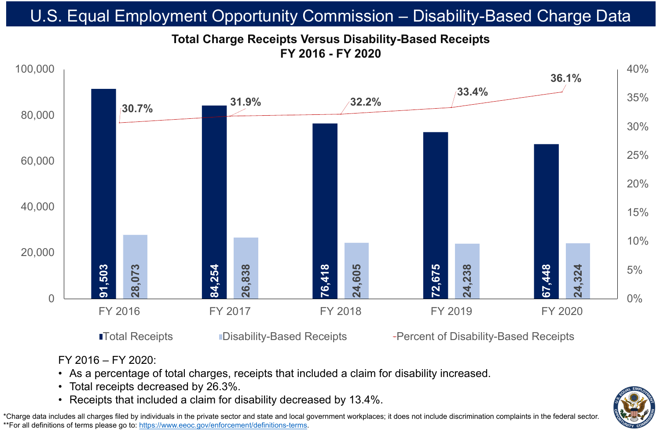• As a percentage of total charges, receipts that included a claim for disability increased.





- FY 2016 FY 2020:
- Total receipts decreased by 26.3%.
- 

# **Total Charge Receipts Versus Disability-Based Receipts FY 2016 - FY 2020** U.S. Equal Employment Opportunity Commission – Disability-Based Charge Data

\*Charge data includes all charges filed by individuals in the private sector and state and local government workplaces; it does not include discrimination complaints in the federal sector. \*\*For all definitions of terms please go to:<https://www.eeoc.gov/enforcement/definitions-terms>.

**The Receipts** Poisability-Based Receipts **Percent of Disability-Based Receipts** 

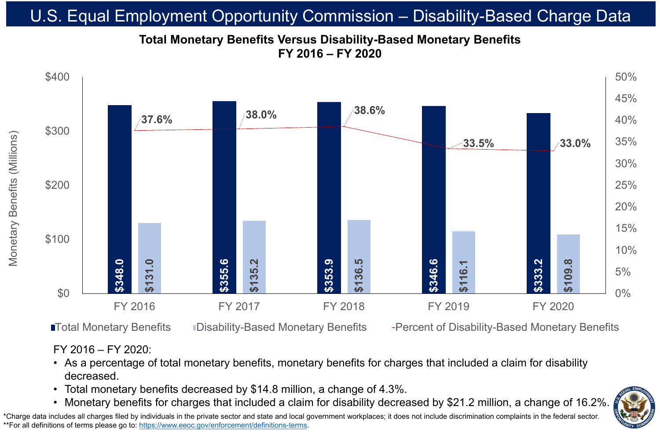### FY 2016 – FY 2020:

• As a percentage of total monetary benefits, monetary benefits for charges that included a claim for disability

- decreased.
- 
- 

# • Total monetary benefits decreased by \$14.8 million, a change of 4.3%.

# **Total Monetary Benefits Versus Disability-Based Monetary Benefits FY 2016 – FY 2020** U.S. Equal Employment Opportunity Commission – Disability-Based Charge Data

\*Charge data includes all charges filed by individuals in the private sector and state and local government workplaces; it does not include discrimination complaints in the federal sector. \*\*For all definitions of terms please go to:<https://www.eeoc.gov/enforcement/definitions-terms>.

 $\begin{array}{c} \hline \text{S} \end{array}$ Monetary Benefits (Millions) efits  $\overline{\mathbf{0}}$ eta



**ITotal Monetary Benefits** IDisability-Based Monetary Benefits **Percent of Disability-Based Monetary Benefits** 

### FY 2016 FY 2017 FY 2018 FY 2019 FY 2020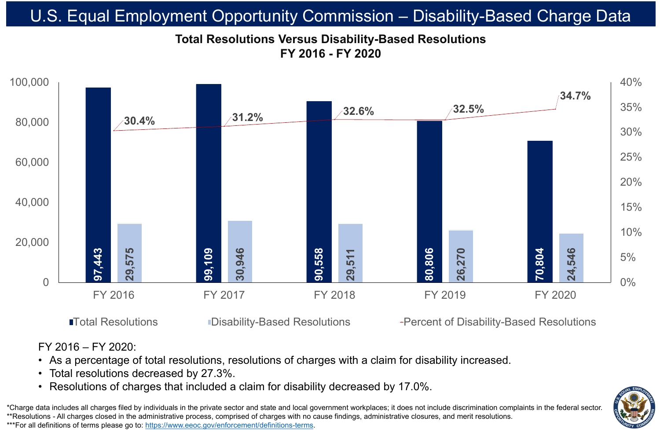

# **Total Resolutions Versus Disability-Based Resolutions FY 2016 - FY 2020** U.S. Equal Employment Opportunity Commission – Disability-Based Charge Data

\*Charge data includes all charges filed by individuals in the private sector and state and local government workplaces; it does not include discrimination complaints in the federal sector. \*\*Resolutions - All charges closed in the administrative process, comprised of charges with no cause findings, administrative closures, and merit resolutions. \*\*\*For all definitions of terms please go to:<https://www.eeoc.gov/enforcement/definitions-terms>.

### FY 2016 – FY 2020:

# • As a percentage of total resolutions, resolutions of charges with a claim for disability increased. • Resolutions of charges that included a claim for disability decreased by 17.0%.

### ■Total Resolutions ■ Disability-Based Resolutions → Percent of Disability-Based Resolutions



- 
- Total resolutions decreased by 27.3%.
- 
-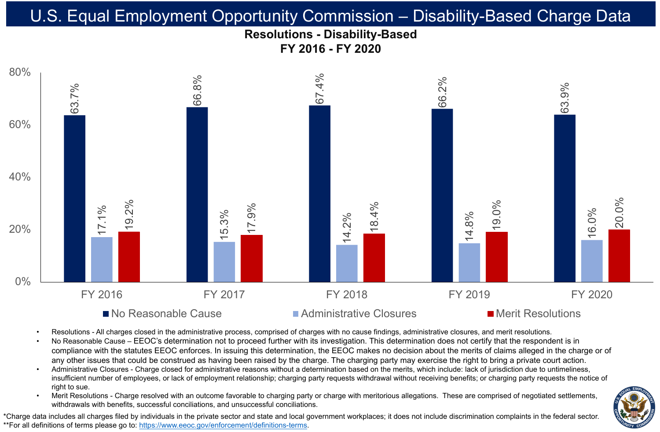# **Resolutions - Disability-Based FY 2016 - FY 2020** U.S. Equal Employment Opportunity Commission – Disability-Based Charge Data





### $\blacksquare$  No Reasonable Cause  $\blacksquare$  Administrative Closures  $\blacksquare$  Merit Resolutions

Merit Resolutions - Charge resolved with an outcome favorable to charging party or charge with meritorious allegations. These are comprised of negotiated settlements, withdrawals with benefits, successful conciliations, and unsuccessful conciliations.

\*Charge data includes all charges filed by individuals in the private sector and state and local government workplaces; it does not include discrimination complaints in the federal sector. \*\*For all definitions of terms please go to:<https://www.eeoc.gov/enforcement/definitions-terms>.



• Resolutions - All charges closed in the administrative process, comprised of charges with no cause findings, administrative closures, and merit resolutions. No Reasonable Cause – EEOC's determination not to proceed further with its investigation. This determination does not certify that the respondent is in compliance with the statutes EEOC enforces. In issuing this determination, the EEOC makes no decision about the merits of claims alleged in the charge or of any other issues that could be construed as having been raised by the charge. The charging party may exercise the right to bring a private court action. • Administrative Closures - Charge closed for administrative reasons without a determination based on the merits, which include: lack of jurisdiction due to untimeliness, insufficient number of employees, or lack of employment relationship; charging party requests withdrawal without receiving benefits; or charging party requests the notice of

- 
- 
- right to sue.
-